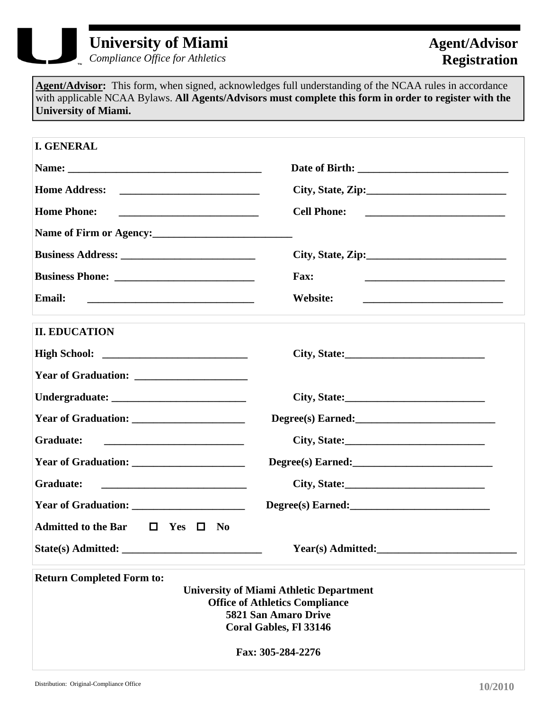

## **University of Miami**

*Compliance Office for Athletics* 

**Agent/Advisor:** This form, when signed, acknowledges full understanding of the NCAA rules in accordance with applicable NCAA Bylaws. **All Agents/Advisors must complete this form in order to register with the University of Miami.**

| <b>I. GENERAL</b>                                                                                                                                                                                         |                                 |  |
|-----------------------------------------------------------------------------------------------------------------------------------------------------------------------------------------------------------|---------------------------------|--|
|                                                                                                                                                                                                           |                                 |  |
| <b>Home Address:</b>                                                                                                                                                                                      | City, State, Zip:               |  |
| <b>Home Phone:</b><br>the control of the control of the control of the control of the control of the control of                                                                                           | <b>Cell Phone:</b>              |  |
| Name of Firm or Agency:                                                                                                                                                                                   |                                 |  |
|                                                                                                                                                                                                           | City, State, Zip: $\frac{2}{1}$ |  |
|                                                                                                                                                                                                           | <b>Fax:</b>                     |  |
| <b>Email:</b><br><u> 1989 - Johann Stein, mars an deutscher Stein und der Stein und der Stein und der Stein und der Stein und der</u>                                                                     | Website:                        |  |
| <b>II. EDUCATION</b>                                                                                                                                                                                      |                                 |  |
|                                                                                                                                                                                                           |                                 |  |
|                                                                                                                                                                                                           |                                 |  |
|                                                                                                                                                                                                           |                                 |  |
|                                                                                                                                                                                                           |                                 |  |
| <b>Graduate:</b>                                                                                                                                                                                          |                                 |  |
|                                                                                                                                                                                                           | Degree(s) Earned:               |  |
| <b>Graduate:</b>                                                                                                                                                                                          |                                 |  |
| <b>Year of Graduation:</b>                                                                                                                                                                                |                                 |  |
| <b>Admitted to the Bar</b><br>$\Box$ Yes $\Box$ No                                                                                                                                                        |                                 |  |
| State(s) Admitted:                                                                                                                                                                                        | Year(s) Admitted:               |  |
| <b>Return Completed Form to:</b><br><b>University of Miami Athletic Department</b><br><b>Office of Athletics Compliance</b><br><b>5821 San Amaro Drive</b><br>Coral Gables, Fl 33146<br>Fax: 305-284-2276 |                                 |  |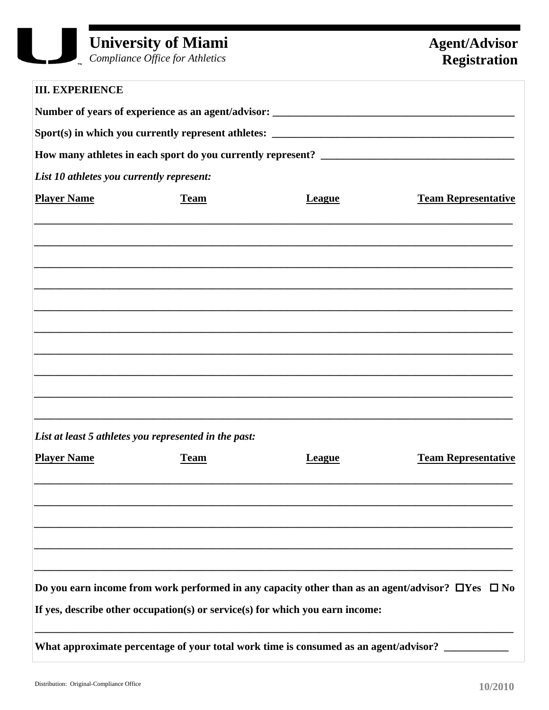$\int_{\mathbb{R}}$  Compliance Office for Athletics

| <b>III. EXPERIENCE</b>                    |                                                                                      |               |                                                                                                             |
|-------------------------------------------|--------------------------------------------------------------------------------------|---------------|-------------------------------------------------------------------------------------------------------------|
|                                           |                                                                                      |               |                                                                                                             |
|                                           |                                                                                      |               |                                                                                                             |
|                                           |                                                                                      |               |                                                                                                             |
| List 10 athletes you currently represent: |                                                                                      |               |                                                                                                             |
| <b>Player Name</b>                        | <b>Team</b>                                                                          | <b>League</b> | <b>Team Representative</b>                                                                                  |
|                                           |                                                                                      |               |                                                                                                             |
|                                           |                                                                                      |               |                                                                                                             |
|                                           |                                                                                      |               |                                                                                                             |
|                                           |                                                                                      |               |                                                                                                             |
|                                           |                                                                                      |               |                                                                                                             |
|                                           | List at least 5 athletes you represented in the past:                                |               |                                                                                                             |
| <b>Player Name</b>                        | <b>Team</b>                                                                          | League        | <b>Team Representative</b>                                                                                  |
|                                           |                                                                                      |               |                                                                                                             |
|                                           |                                                                                      |               |                                                                                                             |
|                                           | If yes, describe other occupation(s) or service(s) for which you earn income:        |               | Do you earn income from work performed in any capacity other than as an agent/advisor? $\Box$ Yes $\Box$ No |
|                                           | What approximate percentage of your total work time is consumed as an agent/advisor? |               |                                                                                                             |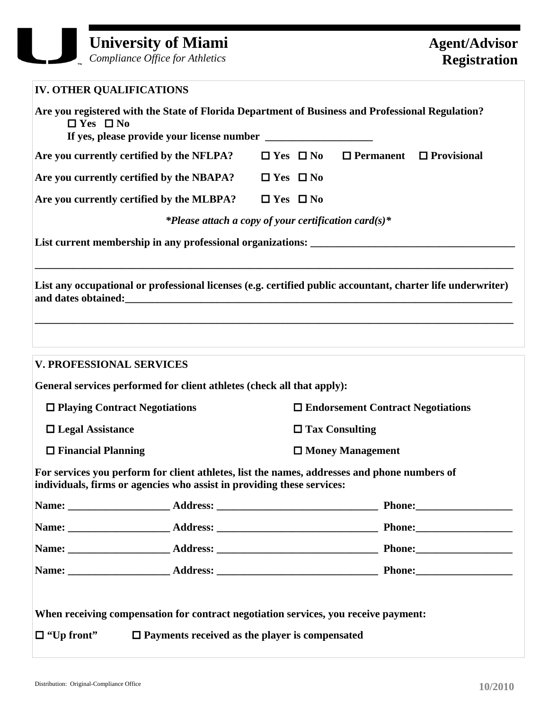## **University of Miami**

*Compliance Office for Athletics* 

| <b>IV. OTHER QUALIFICATIONS</b>                                                                                                                                        |                                                       |                                                      |                                          |                                     |
|------------------------------------------------------------------------------------------------------------------------------------------------------------------------|-------------------------------------------------------|------------------------------------------------------|------------------------------------------|-------------------------------------|
| Are you registered with the State of Florida Department of Business and Professional Regulation?<br>$\Box$ Yes $\Box$ No                                               |                                                       |                                                      |                                          |                                     |
| Are you currently certified by the NFLPA?                                                                                                                              |                                                       | $\Box$ Yes $\Box$ No                                 |                                          | $\Box$ Permanent $\Box$ Provisional |
| Are you currently certified by the NBAPA?                                                                                                                              |                                                       | $\Box$ Yes $\Box$ No                                 |                                          |                                     |
| Are you currently certified by the MLBPA?                                                                                                                              |                                                       | $\Box$ Yes $\Box$ No                                 |                                          |                                     |
|                                                                                                                                                                        |                                                       | *Please attach a copy of your certification card(s)* |                                          |                                     |
|                                                                                                                                                                        |                                                       |                                                      |                                          |                                     |
| List any occupational or professional licenses (e.g. certified public accountant, charter life underwriter)                                                            |                                                       |                                                      |                                          |                                     |
| <b>V. PROFESSIONAL SERVICES</b>                                                                                                                                        |                                                       |                                                      |                                          |                                     |
| General services performed for client athletes (check all that apply):                                                                                                 |                                                       |                                                      |                                          |                                     |
| $\Box$ Playing Contract Negotiations                                                                                                                                   |                                                       |                                                      | $\Box$ Endorsement Contract Negotiations |                                     |
| $\Box$ Legal Assistance                                                                                                                                                | $\Box$ Tax Consulting                                 |                                                      |                                          |                                     |
| $\Box$ Financial Planning                                                                                                                                              |                                                       |                                                      | $\Box$ Money Management                  |                                     |
| For services you perform for client athletes, list the names, addresses and phone numbers of<br>individuals, firms or agencies who assist in providing these services: |                                                       |                                                      |                                          |                                     |
|                                                                                                                                                                        |                                                       |                                                      |                                          |                                     |
|                                                                                                                                                                        |                                                       |                                                      |                                          |                                     |
|                                                                                                                                                                        |                                                       |                                                      |                                          |                                     |
|                                                                                                                                                                        |                                                       |                                                      |                                          |                                     |
|                                                                                                                                                                        |                                                       |                                                      |                                          |                                     |
| When receiving compensation for contract negotiation services, you receive payment:                                                                                    |                                                       |                                                      |                                          |                                     |
| $\Box$ "Up front"                                                                                                                                                      | $\Box$ Payments received as the player is compensated |                                                      |                                          |                                     |